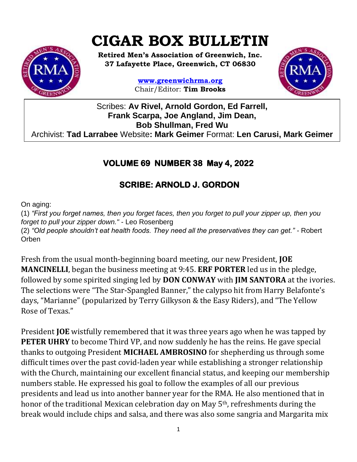# **CIGAR BOX BULLETIN**



**Retired Men's Association of Greenwich, Inc. 37 Lafayette Place, Greenwich, CT 06830**

> **www.greenwichrma.org** Chair/Editor: **Tim Brooks**



Scribes: **Av Rivel, Arnold Gordon, Ed Farrell, Frank Scarpa, Joe Angland, Jim Dean, Bob Shullman, Fred Wu** Archivist: **Tad Larrabee** Website**: Mark Geimer** Format: **Len Carusi, Mark Geimer c**

## **VOLUME 69 NUMBER 38 May 4, 2022**

# **SCRIBE: ARNOLD J. GORDON**

On aging:

(1) *"First you forget names, then you forget faces, then you forget to pull your zipper up, then you forget to pull your zipper down."* - Leo Rosenberg (2) *"Old people shouldn't eat health foods. They need all the preservatives they can get."* - Robert Orben

Fresh from the usual month-beginning board meeting, our new President, **JOE MANCINELLI**, began the business meeting at 9:45. **ERF PORTER** led us in the pledge, followed by some spirited singing led by **DON CONWAY** with **JIM SANTORA** at the ivories. The selections were "The Star-Spangled Banner," the calypso hit from Harry Belafonte's days, "Marianne" (popularized by Terry Gilkyson & the Easy Riders), and "The Yellow Rose of Texas."

President **JOE** wistfully remembered that it was three years ago when he was tapped by **PETER UHRY** to become Third VP, and now suddenly he has the reins. He gave special thanks to outgoing President **MICHAEL AMBROSINO** for shepherding us through some difficult times over the past covid-laden year while establishing a stronger relationship with the Church, maintaining our excellent financial status, and keeping our membership numbers stable. He expressed his goal to follow the examples of all our previous presidents and lead us into another banner year for the RMA. He also mentioned that in honor of the traditional Mexican celebration day on May 5th, refreshments during the break would include chips and salsa, and there was also some sangria and Margarita mix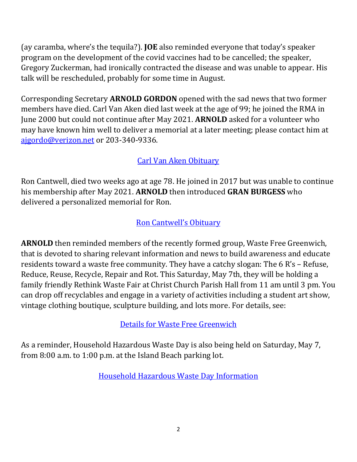(ay caramba, where's the tequila?). **JOE** also reminded everyone that today's speaker program on the development of the covid vaccines had to be cancelled; the speaker, Gregory Zuckerman, had ironically contracted the disease and was unable to appear. His talk will be rescheduled, probably for some time in August.

Corresponding Secretary **ARNOLD GORDON** opened with the sad news that two former members have died. Carl Van Aken died last week at the age of 99; he joined the RMA in June 2000 but could not continue after May 2021. **ARNOLD** asked for a volunteer who may have known him well to deliver a memorial at a later meeting; please contact him at [ajgordo@verizon.net](mailto:ajgordo@verizon.net) or 203-340-9336.

### [Carl Van Aken Obituary](https://www.legacy.com/us/obituaries/greenwichtime/name/carl-vanaken-obituary?pid=201925623&cid=full)

Ron Cantwell, died two weeks ago at age 78. He joined in 2017 but was unable to continue his membership after May 2021. **ARNOLD** then introduced **GRAN BURGESS** who delivered a personalized memorial for Ron.

## [Ron Cantwell](https://roncantwell.com/rons-story)'s Obituary

**ARNOLD** then reminded members of the recently formed group, Waste Free Greenwich, that is devoted to sharing relevant information and news to build awareness and educate residents toward a waste free community. They have a catchy slogan: The 6 R's – Refuse, Reduce, Reuse, Recycle, Repair and Rot. This Saturday, May 7th, they will be holding a family friendly Rethink Waste Fair at Christ Church Parish Hall from 11 am until 3 pm. You can drop off recyclables and engage in a variety of activities including a student art show, vintage clothing boutique, sculpture building, and lots more. For details, see:

[Details for Waste Free Greenwich](https://www.wastefreegreenwich.org/events/2022/5/7/rethink-waste-fair)

As a reminder, Household Hazardous Waste Day is also being held on Saturday, May 7, from 8:00 a.m. to 1:00 p.m. at the Island Beach parking lot.

[Household Hazardous Waste Day Information](https://mcusercontent.com/053716f9c54f7992fd5ff0675/files/c080b103-d7b2-cd85-5f4a-1e71c118b0e1/Hazmats_22.pdf)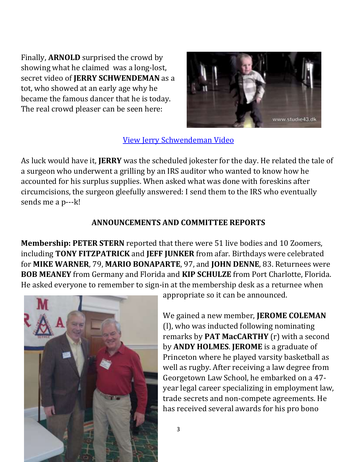Finally, **ARNOLD** surprised the crowd by showing what he claimed was a long-lost, secret video of **JERRY SCHWENDEMAN** as a tot, who showed at an early age why he became the famous dancer that he is today. The real crowd pleaser can be seen here:



#### [View Jerry Schwendeman Video](https://1drv.ms/v/s!Ass0-ybo-H3ChAdNLwt6C-hZHn6n?e=Pkrdhu)

As luck would have it, **JERRY** was the scheduled jokester for the day. He related the tale of a surgeon who underwent a grilling by an IRS auditor who wanted to know how he accounted for his surplus supplies. When asked what was done with foreskins after circumcisions, the surgeon gleefully answered: I send them to the IRS who eventually sends me a p---k!

#### **ANNOUNCEMENTS AND COMMITTEE REPORTS**

**Membership: PETER STERN** reported that there were 51 live bodies and 10 Zoomers, including **TONY FITZPATRICK** and **JEFF JUNKER** from afar. Birthdays were celebrated for **MIKE WARNER**, 79, **MARIO BONAPARTE**, 97, and **JOHN DENNE**, 83. Returnees were **BOB MEANEY** from Germany and Florida and **KIP SCHULZE** from Port Charlotte, Florida. He asked everyone to remember to sign-in at the membership desk as a returnee when



appropriate so it can be announced.

We gained a new member, **JEROME COLEMAN** (l), who was inducted following nominating remarks by **PAT MacCARTHY** (r) with a second by **ANDY HOLMES**. **JEROME** is a graduate of Princeton where he played varsity basketball as well as rugby. After receiving a law degree from Georgetown Law School, he embarked on a 47 year legal career specializing in employment law, trade secrets and non-compete agreements. He has received several awards for his pro bono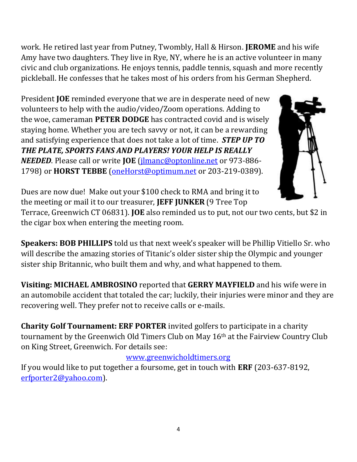work. He retired last year from Putney, Twombly, Hall & Hirson. **JEROME** and his wife Amy have two daughters. They live in Rye, NY, where he is an active volunteer in many civic and club organizations. He enjoys tennis, paddle tennis, squash and more recently pickleball. He confesses that he takes most of his orders from his German Shepherd.

President **JOE** reminded everyone that we are in desperate need of new volunteers to help with the audio/video/Zoom operations. Adding to the woe, cameraman **PETER DODGE** has contracted covid and is wisely staying home. Whether you are tech savvy or not, it can be a rewarding and satisfying experience that does not take a lot of time. *STEP UP TO THE PLATE, SPORTS FANS AND PLAYERS! YOUR HELP IS REALLY NEEDED*. Please call or write **JOE** [\(jlmanc@optonline.net](mailto:jlmanc@optonline.net) or 973-886- 1798) or **HORST TEBBE** [\(oneHorst@optimum.net](mailto:oneHorst@optimum.net) or 203-219-0389).



Dues are now due! Make out your \$100 check to RMA and bring it to the meeting or mail it to our treasurer, **JEFF JUNKER** (9 Tree Top

Terrace, Greenwich CT 06831). **JOE** also reminded us to put, not our two cents, but \$2 in the cigar box when entering the meeting room.

**Speakers: BOB PHILLIPS** told us that next week's speaker will be Phillip Vitiello Sr. who will describe the amazing stories of Titanic's older sister ship the Olympic and younger sister ship Britannic, who built them and why, and what happened to them.

**Visiting: MICHAEL AMBROSINO** reported that **GERRY MAYFIELD** and his wife were in an automobile accident that totaled the car; luckily, their injuries were minor and they are recovering well. They prefer not to receive calls or e-mails.

**Charity Golf Tournament: ERF PORTER** invited golfers to participate in a charity tournament by the Greenwich Old Timers Club on May 16<sup>th</sup> at the Fairview Country Club on King Street, Greenwich. For details see:

#### [www.greenwicholdtimers.org](http://www.greenwicholdtimers.org/)

If you would like to put together a foursome, get in touch with **ERF** (203-637-8192, [erfporter2@yahoo.com\)](mailto:erfporter2@yahoo.com).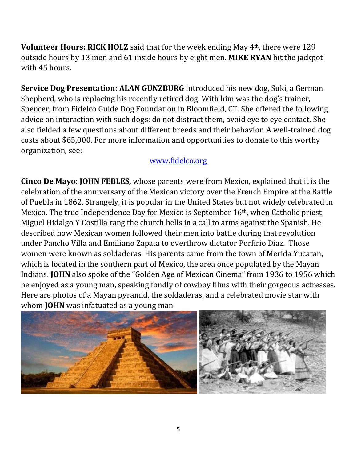**Volunteer Hours: RICK HOLZ** said that for the week ending May 4th, there were 129 outside hours by 13 men and 61 inside hours by eight men. **MIKE RYAN** hit the jackpot with 45 hours.

**Service Dog Presentation: ALAN GUNZBURG** introduced his new dog, Suki, a German Shepherd, who is replacing his recently retired dog. With him was the dog's trainer, Spencer, from Fidelco Guide Dog Foundation in Bloomfield, CT. She offered the following advice on interaction with such dogs: do not distract them, avoid eye to eye contact. She also fielded a few questions about different breeds and their behavior. A well-trained dog costs about \$65,000. For more information and opportunities to donate to this worthy organization, see:

#### [www.fidelco.org](http://www.fidelco.org/)

**Cinco De Mayo: JOHN FEBLES,** whose parents were from Mexico, explained that it is the celebration of the anniversary of the Mexican victory over the French Empire at the Battle of Puebla in 1862. Strangely, it is popular in the United States but not widely celebrated in Mexico. The true Independence Day for Mexico is September 16th, when Catholic priest Miguel Hidalgo Y Costilla rang the church bells in a call to arms against the Spanish. He described how Mexican women followed their men into battle during that revolution under Pancho Villa and Emiliano Zapata to overthrow dictator Porfirio Diaz. Those women were known as soldaderas. His parents came from the town of Merida Yucatan, which is located in the southern part of Mexico, the area once populated by the Mayan Indians. **JOHN** also spoke of the "Golden Age of Mexican Cinema" from 1936 to 1956 which he enjoyed as a young man, speaking fondly of cowboy films with their gorgeous actresses. Here are photos of a Mayan pyramid, the soldaderas, and a celebrated movie star with whom **JOHN** was infatuated as a young man.

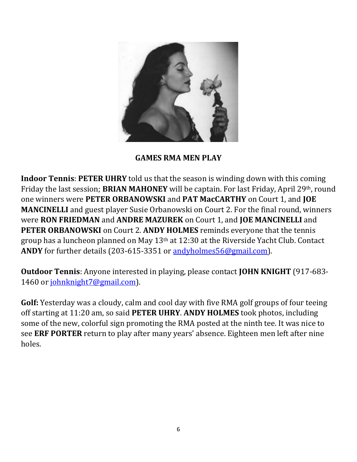

#### **GAMES RMA MEN PLAY**

**Indoor Tennis**: **PETER UHRY** told us that the season is winding down with this coming Friday the last session; **BRIAN MAHONEY** will be captain. For last Friday, April 29th, round one winners were **PETER ORBANOWSKI** and **PAT MacCARTHY** on Court 1, and **JOE MANCINELLI** and guest player Susie Orbanowski on Court 2. For the final round, winners were **RON FRIEDMAN** and **ANDRE MAZUREK** on Court 1, and **JOE MANCINELLI** and **PETER ORBANOWSKI** on Court 2. **ANDY HOLMES** reminds everyone that the tennis group has a luncheon planned on May 13th at 12:30 at the Riverside Yacht Club. Contact **ANDY** for further details (203-615-3351 or [andyholmes56@gmail.com\)](mailto:andyholmes56@gmail.com).

**Outdoor Tennis**: Anyone interested in playing, please contact **JOHN KNIGHT** (917-683- 1460 or [johnknight7@gmail.com\)](mailto:johnknight7@gmail.com).

**Golf:** Yesterday was a cloudy, calm and cool day with five RMA golf groups of four teeing off starting at 11:20 am, so said **PETER UHRY**. **ANDY HOLMES** took photos, including some of the new, colorful sign promoting the RMA posted at the ninth tee. It was nice to see **ERF PORTER** return to play after many years' absence. Eighteen men left after nine holes.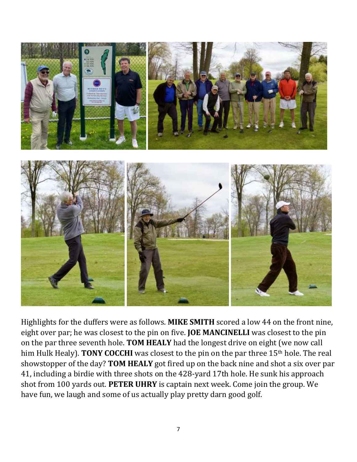

Highlights for the duffers were as follows. **MIKE SMITH** scored a low 44 on the front nine, eight over par; he was closest to the pin on five. **JOE MANCINELLI** was closest to the pin on the par three seventh hole. **TOM HEALY** had the longest drive on eight (we now call him Hulk Healy). **TONY COCCHI** was closest to the pin on the par three 15<sup>th</sup> hole. The real showstopper of the day? **TOM HEALY** got fired up on the back nine and shot a six over par 41, including a birdie with three shots on the 428-yard 17th hole. He sunk his approach shot from 100 yards out. **PETER UHRY** is captain next week. Come join the group. We have fun, we laugh and some of us actually play pretty darn good golf.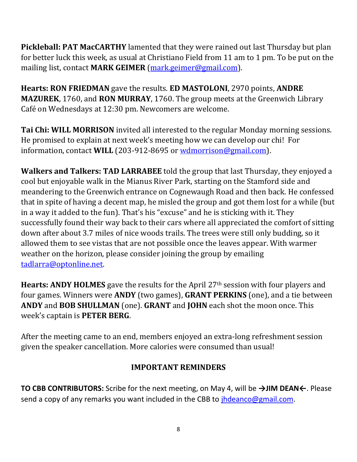**Pickleball: PAT MacCARTHY** lamented that they were rained out last Thursday but plan for better luck this week, as usual at Christiano Field from 11 am to 1 pm. To be put on the mailing list, contact **MARK GEIMER** [\(mark.geimer@gmail.com\)](mailto:mark.geimer@gmail.com).

**Hearts: RON FRIEDMAN** gave the results. **ED MASTOLONI**, 2970 points, **ANDRE MAZUREK**, 1760, and **RON MURRAY**, 1760. The group meets at the Greenwich Library Café on Wednesdays at 12:30 pm. Newcomers are welcome.

**Tai Chi: WILL MORRISON** invited all interested to the regular Monday morning sessions. He promised to explain at next week's meeting how we can develop our chi! For information, contact **WILL** (203-912-8695 or [wdmorrison@gmail.com\)](mailto:wdmorrison@gmail.com).

**Walkers and Talkers: TAD LARRABEE** told the group that last Thursday, they enjoyed a cool but enjoyable walk in the Mianus River Park, starting on the Stamford side and meandering to the Greenwich entrance on Cognewaugh Road and then back. He confessed that in spite of having a decent map, he misled the group and got them lost for a while (but in a way it added to the fun). That's his "excuse" and he is sticking with it. They successfully found their way back to their cars where all appreciated the comfort of sitting down after about 3.7 miles of nice woods trails. The trees were still only budding, so it allowed them to see vistas that are not possible once the leaves appear. With warmer weather on the horizon, please consider joining the group by emailing [tadlarra@optonline.net.](mailto:tadlarra@optonline.net)

Hearts: ANDY HOLMES gave the results for the April 27<sup>th</sup> session with four players and four games. Winners were **ANDY** (two games), **GRANT PERKINS** (one), and a tie between **ANDY** and **BOB SHULLMAN** (one). **GRANT** and **JOHN** each shot the moon once. This week's captain is **PETER BERG**.

After the meeting came to an end, members enjoyed an extra-long refreshment session given the speaker cancellation. More calories were consumed than usual!

#### **IMPORTANT REMINDERS**

**TO CBB CONTRIBUTORS:** Scribe for the next meeting, on May 4, will be **→JIM DEAN←**. Please send a copy of any remarks you want included in the CBB to [jhdeanco@gmail.com.](mailto:jhdeanco@gmail.com)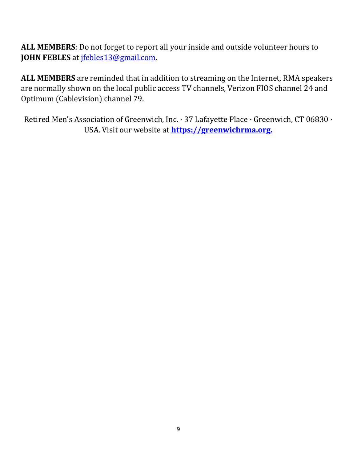**ALL MEMBERS**: Do not forget to report all your inside and outside volunteer hours to **JOHN FEBLES** at [jfebles13@gmail.com.](mailto:jfebles13@gmail.com)

**ALL MEMBERS** are reminded that in addition to streaming on the Internet, RMA speakers are normally shown on the local public access TV channels, Verizon FIOS channel 24 and Optimum (Cablevision) channel 79.

Retired Men's Association of Greenwich, Inc. · 37 Lafayette Place · Greenwich, CT 06830 · USA. Visit our website at **[https://greenwichrma.org.](about:blank)**